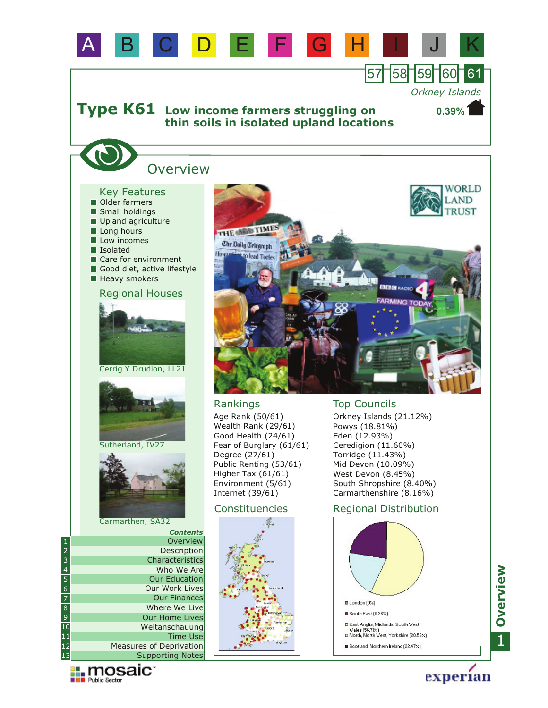

13

**Explorance Manager** 

Supporting Notes Measures of Deprivation Scotland, Northern Ireland (22.47%)

# 1**Overview**

experian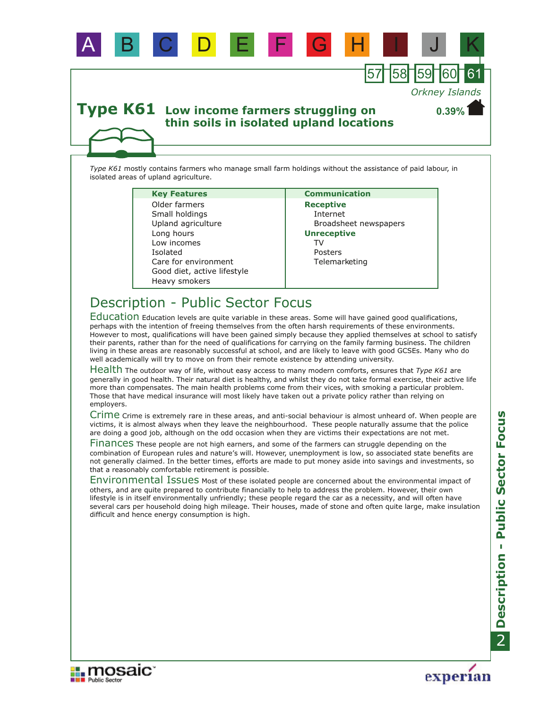

*Type K61* mostly contains farmers who manage small farm holdings without the assistance of paid labour, in isolated areas of upland agriculture.

A B C D E F G H I J K

| <b>Key Features</b>         | <b>Communication</b>  |
|-----------------------------|-----------------------|
| Older farmers               | <b>Receptive</b>      |
| Small holdings              | Internet              |
| Upland agriculture          | Broadsheet newspapers |
| Long hours                  | <b>Unreceptive</b>    |
| Low incomes                 | T٧                    |
| Isolated                    | Posters               |
| Care for environment        | Telemarketing         |
| Good diet, active lifestyle |                       |
| Heavy smokers               |                       |

# Description - Public Sector Focus

Education Education levels are quite variable in these areas. Some will have gained good qualifications, perhaps with the intention of freeing themselves from the often harsh requirements of these environments. However to most, qualifications will have been gained simply because they applied themselves at school to satisfy their parents, rather than for the need of qualifications for carrying on the family farming business. The children living in these areas are reasonably successful at school, and are likely to leave with good GCSEs. Many who do well academically will try to move on from their remote existence by attending university.

Health The outdoor way of life, without easy access to many modern comforts, ensures that *Type K61* are generally in good health. Their natural diet is healthy, and whilst they do not take formal exercise, their active life more than compensates. The main health problems come from their vices, with smoking a particular problem. Those that have medical insurance will most likely have taken out a private policy rather than relying on employers.

Crime Crime is extremely rare in these areas, and anti-social behaviour is almost unheard of. When people are victims, it is almost always when they leave the neighbourhood. These people naturally assume that the police are doing a good job, although on the odd occasion when they are victims their expectations are not met.

Finances These people are not high earners, and some of the farmers can struggle depending on the combination of European rules and nature's will. However, unemployment is low, so associated state benefits are not generally claimed. In the better times, efforts are made to put money aside into savings and investments, so that a reasonably comfortable retirement is possible.

Environmental Issues Most of these isolated people are concerned about the environmental impact of others, and are quite prepared to contribute financially to help to address the problem. However, their own lifestyle is in itself environmentally unfriendly; these people regard the car as a necessity, and will often have several cars per household doing high mileage. Their houses, made of stone and often quite large, make insulation difficult and hence energy consumption is high.





57 58 59 60 61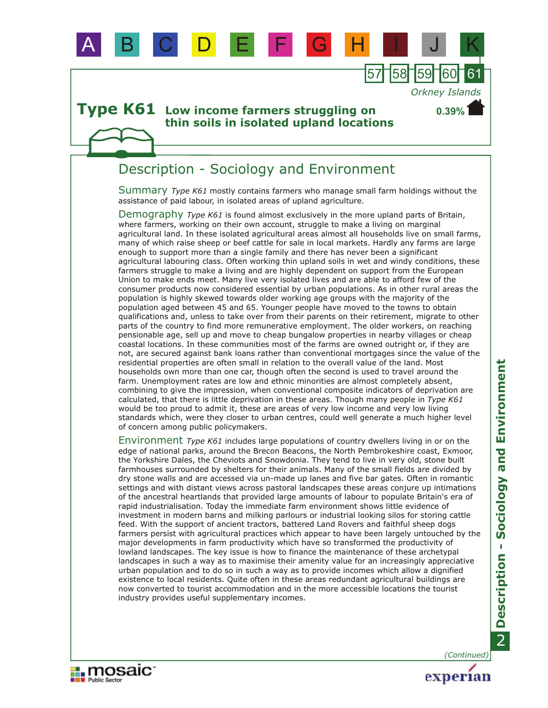

### Description - Sociology and Environment

Summary *Type K61* mostly contains farmers who manage small farm holdings without the assistance of paid labour, in isolated areas of upland agriculture.

A B C D E F G H I J K

57 158 159 16

*Orkney Islands*

**0.39%**

Demography Type K61 is found almost exclusively in the more upland parts of Britain, where farmers, working on their own account, struggle to make a living on marginal agricultural land. In these isolated agricultural areas almost all households live on small farms, many of which raise sheep or beef cattle for sale in local markets. Hardly any farms are large enough to support more than a single family and there has never been a significant agricultural labouring class. Often working thin upland soils in wet and windy conditions, these farmers struggle to make a living and are highly dependent on support from the European Union to make ends meet. Many live very isolated lives and are able to afford few of the consumer products now considered essential by urban populations. As in other rural areas the population is highly skewed towards older working age groups with the majority of the population aged between 45 and 65. Younger people have moved to the towns to obtain qualifications and, unless to take over from their parents on their retirement, migrate to other parts of the country to find more remunerative employment. The older workers, on reaching pensionable age, sell up and move to cheap bungalow properties in nearby villages or cheap coastal locations. In these communities most of the farms are owned outright or, if they are not, are secured against bank loans rather than conventional mortgages since the value of the residential properties are often small in relation to the overall value of the land. Most households own more than one car, though often the second is used to travel around the farm. Unemployment rates are low and ethnic minorities are almost completely absent, combining to give the impression, when conventional composite indicators of deprivation are calculated, that there is little deprivation in these areas. Though many people in *Type K61* would be too proud to admit it, these are areas of very low income and very low living standards which, were they closer to urban centres, could well generate a much higher level of concern among public policymakers.

Environment *Type K61* includes large populations of country dwellers living in or on the edge of national parks, around the Brecon Beacons, the North Pembrokeshire coast, Exmoor, the Yorkshire Dales, the Cheviots and Snowdonia. They tend to live in very old, stone built farmhouses surrounded by shelters for their animals. Many of the small fields are divided by dry stone walls and are accessed via un-made up lanes and five bar gates. Often in romantic settings and with distant views across pastoral landscapes these areas conjure up intimations of the ancestral heartlands that provided large amounts of labour to populate Britain's era of rapid industrialisation. Today the immediate farm environment shows little evidence of investment in modern barns and milking parlours or industrial looking silos for storing cattle feed. With the support of ancient tractors, battered Land Rovers and faithful sheep dogs farmers persist with agricultural practices which appear to have been largely untouched by the major developments in farm productivity which have so transformed the productivity of lowland landscapes. The key issue is how to finance the maintenance of these archetypal landscapes in such a way as to maximise their amenity value for an increasingly appreciative urban population and to do so in such a way as to provide incomes which allow a dignified existence to local residents. Quite often in these areas redundant agricultural buildings are now converted to tourist accommodation and in the more accessible locations the tourist industry provides useful supplementary incomes.

*(Continued)*

experian

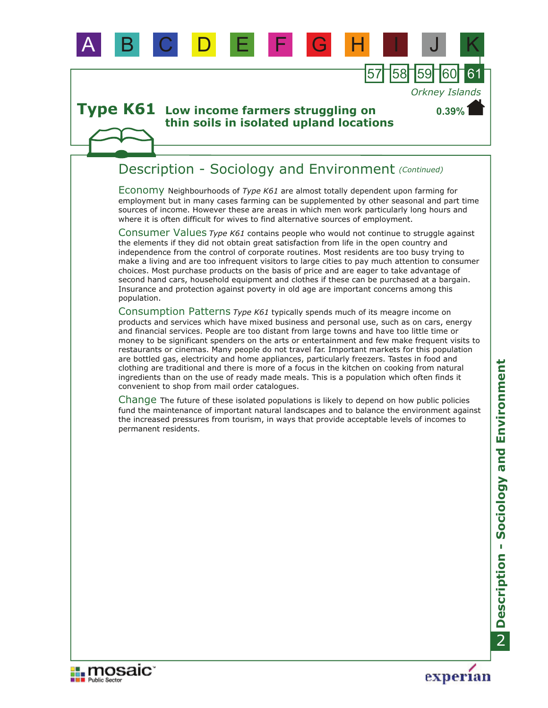

**Type K61** Low income farmers struggling on **thin soils in isolated upland locations** 

### Description - Sociology and Environment *(Continued)*

Economy Neighbourhoods of *Type K61* are almost totally dependent upon farming for employment but in many cases farming can be supplemented by other seasonal and part time sources of income. However these are areas in which men work particularly long hours and where it is often difficult for wives to find alternative sources of employment.

57 158 159 16

*Orkney Islands*

**0.39%**

Consumer Values *Type K61* contains people who would not continue to struggle against the elements if they did not obtain great satisfaction from life in the open country and independence from the control of corporate routines. Most residents are too busy trying to make a living and are too infrequent visitors to large cities to pay much attention to consumer choices. Most purchase products on the basis of price and are eager to take advantage of second hand cars, household equipment and clothes if these can be purchased at a bargain. Insurance and protection against poverty in old age are important concerns among this population.

Consumption Patterns *Type K61* typically spends much of its meagre income on products and services which have mixed business and personal use, such as on cars, energy and financial services. People are too distant from large towns and have too little time or money to be significant spenders on the arts or entertainment and few make frequent visits to restaurants or cinemas. Many people do not travel far. Important markets for this population are bottled gas, electricity and home appliances, particularly freezers. Tastes in food and clothing are traditional and there is more of a focus in the kitchen on cooking from natural ingredients than on the use of ready made meals. This is a population which often finds it convenient to shop from mail order catalogues.

Change The future of these isolated populations is likely to depend on how public policies fund the maintenance of important natural landscapes and to balance the environment against the increased pressures from tourism, in ways that provide acceptable levels of incomes to permanent residents.